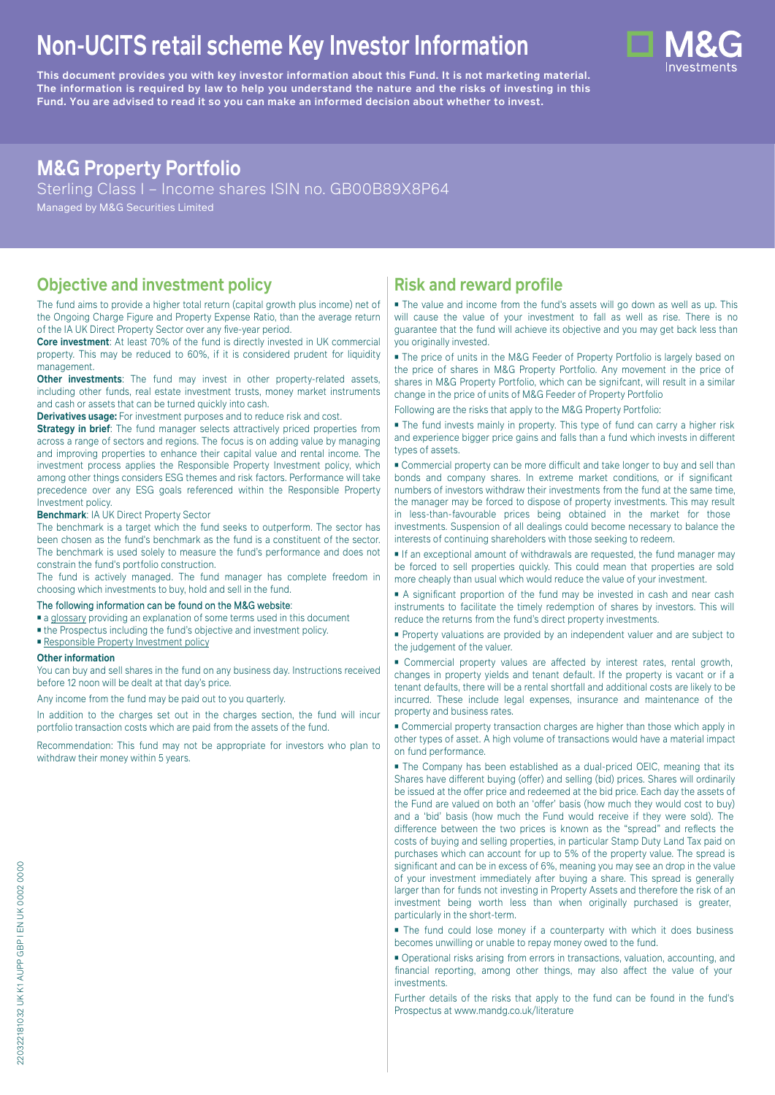# **Non-UCITS retail scheme Key Investor Information**





# **M&G Property Portfolio**

Sterling Class I – Income shares ISIN no. GB00B89X8P64

Managed by M&G Securities Limited

# **Objective and investment policy**

The fund aims to provide a higher total return (capital growth plus income) net of the Ongoing Charge Figure and Property Expense Ratio, than the average return of the IA UK Direct Property Sector over any five-year period.

**Core investment**: At least 70% of the fund is directly invested in UK commercial property. This may be reduced to 60%, if it is considered prudent for liquidity management.

**Other investments**: The fund may invest in other property-related assets, including other funds, real estate investment trusts, money market instruments and cash or assets that can be turned quickly into cash.

**Derivatives usage:** For investment purposes and to reduce risk and cost.

**Strategy in brief:** The fund manager selects attractively priced properties from across a range of sectors and regions. The focus is on adding value by managing and improving properties to enhance their capital value and rental income. The investment process applies the Responsible Property Investment policy, which among other things considers ESG themes and risk factors. Performance will take precedence over any ESG goals referenced within the Responsible Property Investment policy.

#### **Benchmark**: IA UK Direct Property Sector

The benchmark is a target which the fund seeks to outperform. The sector has been chosen as the fund's benchmark as the fund is a constituent of the sector. The benchmark is used solely to measure the fund's performance and does not constrain the fund's portfolio construction.

The fund is actively managed. The fund manager has complete freedom in choosing which investments to buy, hold and sell in the fund.

#### The following information can be found on the M&G website:

- [a glossary](https://docs.mandg.com/docs/glossary-master-en.pdf) providing an explanation of some terms used in this document
- the Prospectus including the fund's objective and investment policy.
- [Responsible Property Investment policy](https://www.mandg.com/dam/investments/common/gb/en/documents/funds-literature/fund-specific-files/rpipolicy-mg-uk-property-portfolio.pdf)

#### **Other information**

You can buy and sell shares in the fund on any business day. Instructions received before 12 noon will be dealt at that day's price.

Any income from the fund may be paid out to you quarterly.

In addition to the charges set out in the charges section, the fund will incur portfolio transaction costs which are paid from the assets of the fund.

Recommendation: This fund may not be appropriate for investors who plan to withdraw their money within 5 years.

# **Risk and reward profile**

■ The value and income from the fund's assets will go down as well as up. This will cause the value of your investment to fall as well as rise. There is no guarantee that the fund will achieve its objective and you may get back less than you originally invested.

■ The price of units in the M&G Feeder of Property Portfolio is largely based on the price of shares in M&G Property Portfolio. Any movement in the price of shares in M&G Property Portfolio, which can be signifcant, will result in a similar change in the price of units of M&G Feeder of Property Portfolio

Following are the risks that apply to the M&G Property Portfolio:

■ The fund invests mainly in property. This type of fund can carry a higher risk and experience bigger price gains and falls than a fund which invests in different types of assets.

■ Commercial property can be more difficult and take longer to buy and sell than bonds and company shares. In extreme market conditions, or if significant numbers of investors withdraw their investments from the fund at the same time, the manager may be forced to dispose of property investments. This may result in less-than-favourable prices being obtained in the market for those investments. Suspension of all dealings could become necessary to balance the interests of continuing shareholders with those seeking to redeem.

■ If an exceptional amount of withdrawals are requested, the fund manager may be forced to sell properties quickly. This could mean that properties are sold more cheaply than usual which would reduce the value of your investment.

■ A significant proportion of the fund may be invested in cash and near cash instruments to facilitate the timely redemption of shares by investors. This will reduce the returns from the fund's direct property investments.

■ Property valuations are provided by an independent valuer and are subject to the judgement of the valuer.

■ Commercial property values are affected by interest rates, rental growth, changes in property yields and tenant default. If the property is vacant or if a tenant defaults, there will be a rental shortfall and additional costs are likely to be incurred. These include legal expenses, insurance and maintenance of the property and business rates.

■ Commercial property transaction charges are higher than those which apply in other types of asset. A high volume of transactions would have a material impact on fund performance.

■ The Company has been established as a dual-priced OEIC, meaning that its Shares have different buying (offer) and selling (bid) prices. Shares will ordinarily be issued at the offer price and redeemed at the bid price. Each day the assets of the Fund are valued on both an 'offer' basis (how much they would cost to buy) and a 'bid' basis (how much the Fund would receive if they were sold). The difference between the two prices is known as the "spread" and reflects the costs of buying and selling properties, in particular Stamp Duty Land Tax paid on purchases which can account for up to 5% of the property value. The spread is significant and can be in excess of 6%, meaning you may see an drop in the value of your investment immediately after buying a share. This spread is generally larger than for funds not investing in Property Assets and therefore the risk of an investment being worth less than when originally purchased is greater, particularly in the short-term.

■ The fund could lose money if a counterparty with which it does business becomes unwilling or unable to repay money owed to the fund.

■ Operational risks arising from errors in transactions, valuation, accounting, and financial reporting, among other things, may also affect the value of your investments.

Further details of the risks that apply to the fund can be found in the fund's Prospectus at [www.mandg.co.uk/literature](http://www.mandg.co.uk/literature)